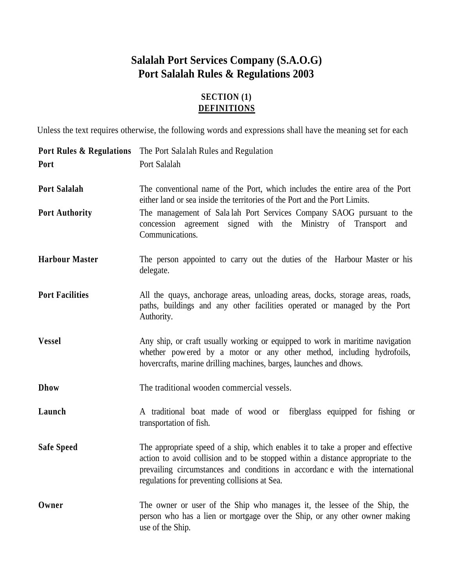# **Salalah Port Services Company (S.A.O.G) Port Salalah Rules & Regulations 2003**

# **SECTION (1) DEFINITIONS**

Unless the text requires otherwise, the following words and expressions shall have the meaning set for each

|                        | <b>Port Rules &amp; Regulations</b> The Port Salalah Rules and Regulation                                                                                                                                                                                                                             |
|------------------------|-------------------------------------------------------------------------------------------------------------------------------------------------------------------------------------------------------------------------------------------------------------------------------------------------------|
| Port                   | Port Salalah                                                                                                                                                                                                                                                                                          |
| <b>Port Salalah</b>    | The conventional name of the Port, which includes the entire area of the Port<br>either land or sea inside the territories of the Port and the Port Limits.                                                                                                                                           |
| <b>Port Authority</b>  | The management of Salalah Port Services Company SAOG pursuant to the<br>concession agreement signed with the Ministry of Transport<br>and<br>Communications.                                                                                                                                          |
| <b>Harbour Master</b>  | The person appointed to carry out the duties of the Harbour Master or his<br>delegate.                                                                                                                                                                                                                |
| <b>Port Facilities</b> | All the quays, anchorage areas, unloading areas, docks, storage areas, roads,<br>paths, buildings and any other facilities operated or managed by the Port<br>Authority.                                                                                                                              |
| <b>Vessel</b>          | Any ship, or craft usually working or equipped to work in maritime navigation<br>whether powered by a motor or any other method, including hydrofoils,<br>hovercrafts, marine drilling machines, barges, launches and dhows.                                                                          |
| <b>Dhow</b>            | The traditional wooden commercial vessels.                                                                                                                                                                                                                                                            |
| Launch                 | A traditional boat made of wood or fiberglass equipped for fishing or<br>transportation of fish.                                                                                                                                                                                                      |
| <b>Safe Speed</b>      | The appropriate speed of a ship, which enables it to take a proper and effective<br>action to avoid collision and to be stopped within a distance appropriate to the<br>prevailing circumstances and conditions in accordance with the international<br>regulations for preventing collisions at Sea. |
| Owner                  | The owner or user of the Ship who manages it, the lessee of the Ship, the<br>person who has a lien or mortgage over the Ship, or any other owner making<br>use of the Ship.                                                                                                                           |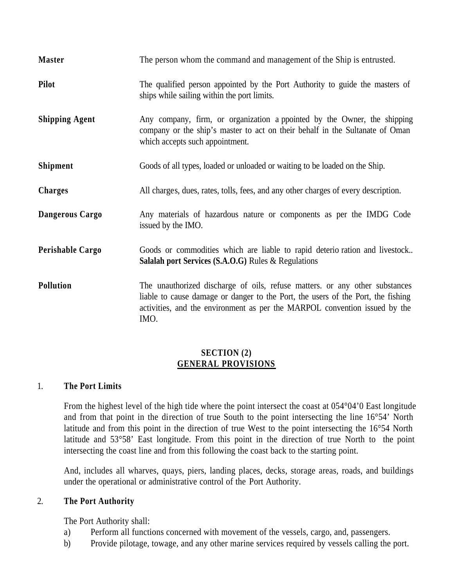| <b>Master</b>         | The person whom the command and management of the Ship is entrusted.                                                                                                                                                                                  |
|-----------------------|-------------------------------------------------------------------------------------------------------------------------------------------------------------------------------------------------------------------------------------------------------|
| <b>Pilot</b>          | The qualified person appointed by the Port Authority to guide the masters of<br>ships while sailing within the port limits.                                                                                                                           |
| <b>Shipping Agent</b> | Any company, firm, or organization a ppointed by the Owner, the shipping<br>company or the ship's master to act on their behalf in the Sultanate of Oman<br>which accepts such appointment.                                                           |
| <b>Shipment</b>       | Goods of all types, loaded or unloaded or waiting to be loaded on the Ship.                                                                                                                                                                           |
| <b>Charges</b>        | All charges, dues, rates, tolls, fees, and any other charges of every description.                                                                                                                                                                    |
| Dangerous Cargo       | Any materials of hazardous nature or components as per the IMDG Code<br>issued by the IMO.                                                                                                                                                            |
| Perishable Cargo      | Goods or commodities which are liable to rapid deterio ration and livestock<br><b>Salalah port Services (S.A.O.G)</b> Rules $\&$ Regulations                                                                                                          |
| <b>Pollution</b>      | The unauthorized discharge of oils, refuse matters. or any other substances<br>liable to cause damage or danger to the Port, the users of the Port, the fishing<br>activities, and the environment as per the MARPOL convention issued by the<br>IMO. |

#### **SECTION (2) GENERAL PROVISIONS**

#### 1. **The Port Limits**

From the highest level of the high tide where the point intersect the coast at 054°04'0 East longitude and from that point in the direction of true South to the point intersecting the line 16°54' North latitude and from this point in the direction of true West to the point intersecting the 16°54 North latitude and 53°58' East longitude. From this point in the direction of true North to the point intersecting the coast line and from this following the coast back to the starting point.

And, includes all wharves, quays, piers, landing places, decks, storage areas, roads, and buildings under the operational or administrative control of the Port Authority.

#### 2. **The Port Authority**

The Port Authority shall:

- a) Perform all functions concerned with movement of the vessels, cargo, and, passengers.
- b) Provide pilotage, towage, and any other marine services required by vessels calling the port.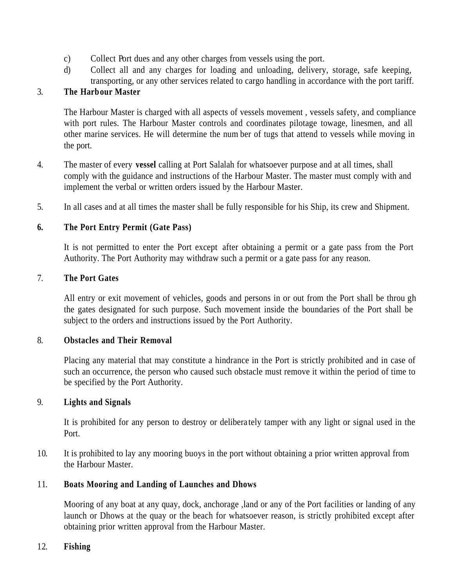- c) Collect Port dues and any other charges from vessels using the port.
- d) Collect all and any charges for loading and unloading, delivery, storage, safe keeping, transporting, or any other services related to cargo handling in accordance with the port tariff.

# 3. **The Harbour Master**

The Harbour Master is charged with all aspects of vessels movement , vessels safety, and compliance with port rules. The Harbour Master controls and coordinates pilotage towage, linesmen, and all other marine services. He will determine the num ber of tugs that attend to vessels while moving in the port.

- 4. The master of every **vessel** calling at Port Salalah for whatsoever purpose and at all times, shall comply with the guidance and instructions of the Harbour Master. The master must comply with and implement the verbal or written orders issued by the Harbour Master.
- 5. In all cases and at all times the master shall be fully responsible for his Ship, its crew and Shipment.

# **6. The Port Entry Permit (Gate Pass)**

It is not permitted to enter the Port except after obtaining a permit or a gate pass from the Port Authority. The Port Authority may withdraw such a permit or a gate pass for any reason.

#### 7. **The Port Gates**

All entry or exit movement of vehicles, goods and persons in or out from the Port shall be throu gh the gates designated for such purpose. Such movement inside the boundaries of the Port shall be subject to the orders and instructions issued by the Port Authority.

#### 8. **Obstacles and Their Removal**

Placing any material that may constitute a hindrance in the Port is strictly prohibited and in case of such an occurrence, the person who caused such obstacle must remove it within the period of time to be specified by the Port Authority.

#### 9. **Lights and Signals**

It is prohibited for any person to destroy or delibera tely tamper with any light or signal used in the Port.

10. It is prohibited to lay any mooring buoys in the port without obtaining a prior written approval from the Harbour Master.

# 11. **Boats Mooring and Landing of Launches and Dhows**

Mooring of any boat at any quay, dock, anchorage ,land or any of the Port facilities or landing of any launch or Dhows at the quay or the beach for whatsoever reason, is strictly prohibited except after obtaining prior written approval from the Harbour Master.

#### 12. **Fishing**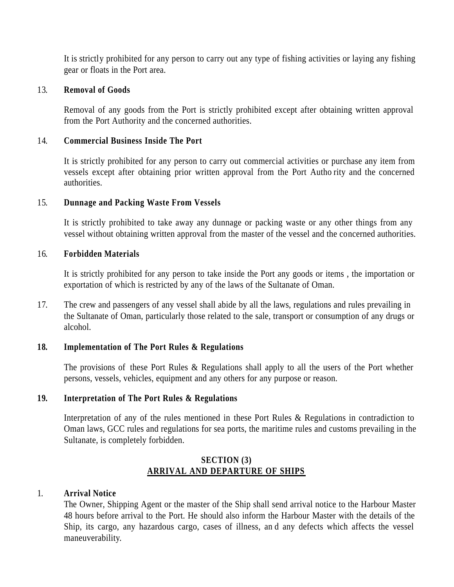It is strictly prohibited for any person to carry out any type of fishing activities or laying any fishing gear or floats in the Port area.

#### 13. **Removal of Goods**

Removal of any goods from the Port is strictly prohibited except after obtaining written approval from the Port Authority and the concerned authorities.

### 14. **Commercial Business Inside The Port**

It is strictly prohibited for any person to carry out commercial activities or purchase any item from vessels except after obtaining prior written approval from the Port Autho rity and the concerned authorities.

# 15. **Dunnage and Packing Waste From Vessels**

It is strictly prohibited to take away any dunnage or packing waste or any other things from any vessel without obtaining written approval from the master of the vessel and the concerned authorities.

#### 16. **Forbidden Materials**

It is strictly prohibited for any person to take inside the Port any goods or items , the importation or exportation of which is restricted by any of the laws of the Sultanate of Oman.

17. The crew and passengers of any vessel shall abide by all the laws, regulations and rules prevailing in the Sultanate of Oman, particularly those related to the sale, transport or consumption of any drugs or alcohol.

#### **18. Implementation of The Port Rules & Regulations**

The provisions of these Port Rules & Regulations shall apply to all the users of the Port whether persons, vessels, vehicles, equipment and any others for any purpose or reason.

#### **19. Interpretation of The Port Rules & Regulations**

Interpretation of any of the rules mentioned in these Port Rules & Regulations in contradiction to Oman laws, GCC rules and regulations for sea ports, the maritime rules and customs prevailing in the Sultanate, is completely forbidden.

# **SECTION (3) ARRIVAL AND DEPARTURE OF SHIPS**

#### 1. **Arrival Notice**

The Owner, Shipping Agent or the master of the Ship shall send arrival notice to the Harbour Master 48 hours before arrival to the Port. He should also inform the Harbour Master with the details of the Ship, its cargo, any hazardous cargo, cases of illness, an d any defects which affects the vessel maneuverability.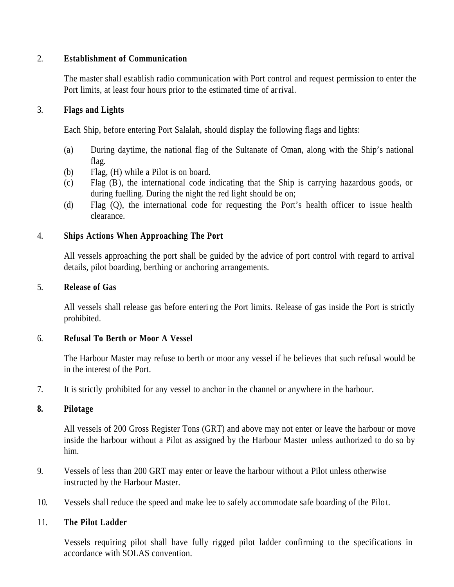### 2. **Establishment of Communication**

The master shall establish radio communication with Port control and request permission to enter the Port limits, at least four hours prior to the estimated time of arrival.

### 3. **Flags and Lights**

Each Ship, before entering Port Salalah, should display the following flags and lights:

- (a) During daytime, the national flag of the Sultanate of Oman, along with the Ship's national flag.
- (b) Flag, (H) while a Pilot is on board.
- (c) Flag (B), the international code indicating that the Ship is carrying hazardous goods, or during fuelling. During the night the red light should be on;
- (d) Flag (Q), the international code for requesting the Port's health officer to issue health clearance.

### 4. **Ships Actions When Approaching The Port**

All vessels approaching the port shall be guided by the advice of port control with regard to arrival details, pilot boarding, berthing or anchoring arrangements.

#### 5. **Release of Gas**

All vessels shall release gas before enteri ng the Port limits. Release of gas inside the Port is strictly prohibited.

#### 6. **Refusal To Berth or Moor A Vessel**

The Harbour Master may refuse to berth or moor any vessel if he believes that such refusal would be in the interest of the Port.

7. It is strictly prohibited for any vessel to anchor in the channel or anywhere in the harbour.

#### **8. Pilotage**

All vessels of 200 Gross Register Tons (GRT) and above may not enter or leave the harbour or move inside the harbour without a Pilot as assigned by the Harbour Master unless authorized to do so by him.

- 9. Vessels of less than 200 GRT may enter or leave the harbour without a Pilot unless otherwise instructed by the Harbour Master.
- 10. Vessels shall reduce the speed and make lee to safely accommodate safe boarding of the Pilo t.

#### 11. **The Pilot Ladder**

Vessels requiring pilot shall have fully rigged pilot ladder confirming to the specifications in accordance with SOLAS convention.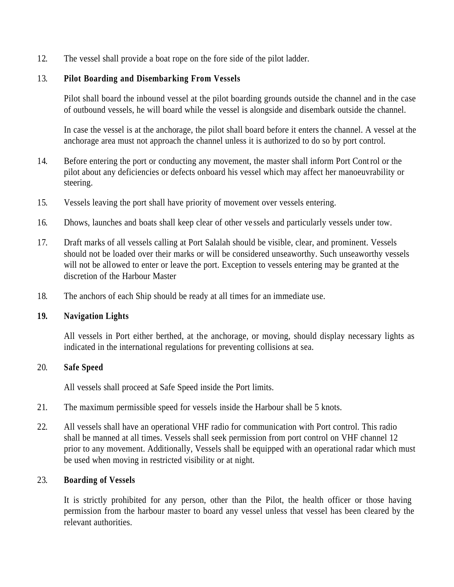12. The vessel shall provide a boat rope on the fore side of the pilot ladder.

# 13. **Pilot Boarding and Disembarking From Vessels**

Pilot shall board the inbound vessel at the pilot boarding grounds outside the channel and in the case of outbound vessels, he will board while the vessel is alongside and disembark outside the channel.

In case the vessel is at the anchorage, the pilot shall board before it enters the channel. A vessel at the anchorage area must not approach the channel unless it is authorized to do so by port control.

- 14. Before entering the port or conducting any movement, the master shall inform Port Control or the pilot about any deficiencies or defects onboard his vessel which may affect her manoeuvrability or steering.
- 15. Vessels leaving the port shall have priority of movement over vessels entering.
- 16. Dhows, launches and boats shall keep clear of other ve ssels and particularly vessels under tow.
- 17. Draft marks of all vessels calling at Port Salalah should be visible, clear, and prominent. Vessels should not be loaded over their marks or will be considered unseaworthy. Such unseaworthy vessels will not be allowed to enter or leave the port. Exception to vessels entering may be granted at the discretion of the Harbour Master
- 18. The anchors of each Ship should be ready at all times for an immediate use.

#### **19. Navigation Lights**

All vessels in Port either berthed, at the anchorage, or moving, should display necessary lights as indicated in the international regulations for preventing collisions at sea.

#### 20. **Safe Speed**

All vessels shall proceed at Safe Speed inside the Port limits.

- 21. The maximum permissible speed for vessels inside the Harbour shall be 5 knots.
- 22. All vessels shall have an operational VHF radio for communication with Port control. This radio shall be manned at all times. Vessels shall seek permission from port control on VHF channel 12 prior to any movement. Additionally, Vessels shall be equipped with an operational radar which must be used when moving in restricted visibility or at night.

#### 23. **Boarding of Vessels**

It is strictly prohibited for any person, other than the Pilot, the health officer or those having permission from the harbour master to board any vessel unless that vessel has been cleared by the relevant authorities.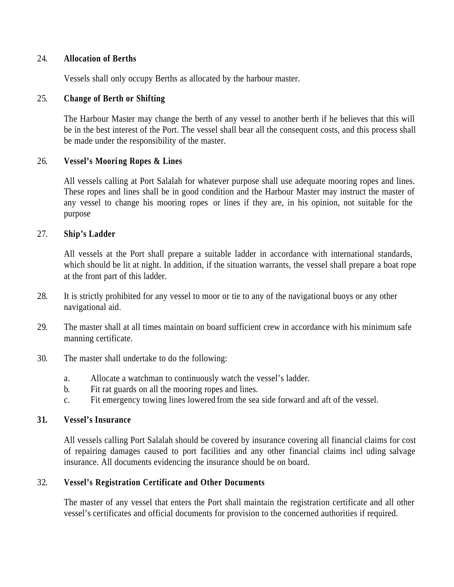#### 24. **Allocation of Berths**

Vessels shall only occupy Berths as allocated by the harbour master.

#### 25. **Change of Berth or Shifting**

The Harbour Master may change the berth of any vessel to another berth if he believes that this will be in the best interest of the Port. The vessel shall bear all the consequent costs, and this process shall be made under the responsibility of the master.

#### 26. **Vessel's Mooring Ropes & Lines**

All vessels calling at Port Salalah for whatever purpose shall use adequate mooring ropes and lines. These ropes and lines shall be in good condition and the Harbour Master may instruct the master of any vessel to change his mooring ropes or lines if they are, in his opinion, not suitable for the purpose

#### 27. **Ship's Ladder**

All vessels at the Port shall prepare a suitable ladder in accordance with international standards, which should be lit at night. In addition, if the situation warrants, the vessel shall prepare a boat rope at the front part of this ladder.

- 28. It is strictly prohibited for any vessel to moor or tie to any of the navigational buoys or any other navigational aid.
- 29. The master shall at all times maintain on board sufficient crew in accordance with his minimum safe manning certificate.
- 30. The master shall undertake to do the following:
	- a. Allocate a watchman to continuously watch the vessel's ladder.
	- b. Fit rat guards on all the mooring ropes and lines.
	- c. Fit emergency towing lines lowered from the sea side forward and aft of the vessel.

#### **31. Vessel's Insurance**

All vessels calling Port Salalah should be covered by insurance covering all financial claims for cost of repairing damages caused to port facilities and any other financial claims incl uding salvage insurance. All documents evidencing the insurance should be on board.

#### 32. **Vessel's Registration Certificate and Other Documents**

The master of any vessel that enters the Port shall maintain the registration certificate and all other vessel's certificates and official documents for provision to the concerned authorities if required.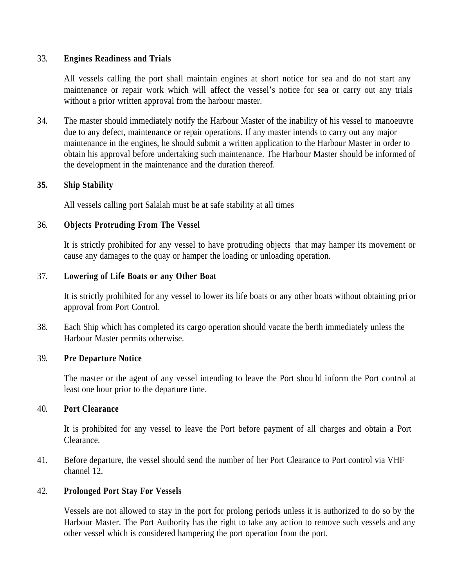#### 33. **Engines Readiness and Trials**

All vessels calling the port shall maintain engines at short notice for sea and do not start any maintenance or repair work which will affect the vessel's notice for sea or carry out any trials without a prior written approval from the harbour master.

34. The master should immediately notify the Harbour Master of the inability of his vessel to manoeuvre due to any defect, maintenance or repair operations. If any master intends to carry out any major maintenance in the engines, he should submit a written application to the Harbour Master in order to obtain his approval before undertaking such maintenance. The Harbour Master should be informed of the development in the maintenance and the duration thereof.

#### **35. Ship Stability**

All vessels calling port Salalah must be at safe stability at all times

#### 36. **Objects Protruding From The Vessel**

It is strictly prohibited for any vessel to have protruding objects that may hamper its movement or cause any damages to the quay or hamper the loading or unloading operation.

#### 37. **Lowering of Life Boats or any Other Boat**

It is strictly prohibited for any vessel to lower its life boats or any other boats without obtaining pri or approval from Port Control.

38. Each Ship which has completed its cargo operation should vacate the berth immediately unless the Harbour Master permits otherwise.

#### 39. **Pre Departure Notice**

The master or the agent of any vessel intending to leave the Port shou ld inform the Port control at least one hour prior to the departure time.

### 40. **Port Clearance**

It is prohibited for any vessel to leave the Port before payment of all charges and obtain a Port Clearance.

41. Before departure, the vessel should send the number of her Port Clearance to Port control via VHF channel 12.

#### 42. **Prolonged Port Stay For Vessels**

Vessels are not allowed to stay in the port for prolong periods unless it is authorized to do so by the Harbour Master. The Port Authority has the right to take any ac tion to remove such vessels and any other vessel which is considered hampering the port operation from the port.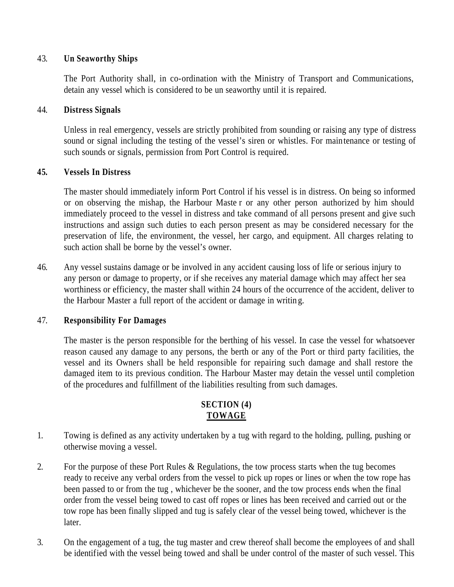### 43. **Un Seaworthy Ships**

The Port Authority shall, in co-ordination with the Ministry of Transport and Communications, detain any vessel which is considered to be un seaworthy until it is repaired.

### 44. **Distress Signals**

Unless in real emergency, vessels are strictly prohibited from sounding or raising any type of distress sound or signal including the testing of the vessel's siren or whistles. For maintenance or testing of such sounds or signals, permission from Port Control is required.

### **45. Vessels In Distress**

The master should immediately inform Port Control if his vessel is in distress. On being so informed or on observing the mishap, the Harbour Maste r or any other person authorized by him should immediately proceed to the vessel in distress and take command of all persons present and give such instructions and assign such duties to each person present as may be considered necessary for the preservation of life, the environment, the vessel, her cargo, and equipment. All charges relating to such action shall be borne by the vessel's owner.

46. Any vessel sustains damage or be involved in any accident causing loss of life or serious injury to any person or damage to property, or if she receives any material damage which may affect her sea worthiness or efficiency, the master shall within 24 hours of the occurrence of the accident, deliver to the Harbour Master a full report of the accident or damage in writin g.

# 47. **Responsibility For Damages**

The master is the person responsible for the berthing of his vessel. In case the vessel for whatsoever reason caused any damage to any persons, the berth or any of the Port or third party facilities, the vessel and its Owners shall be held responsible for repairing such damage and shall restore the damaged item to its previous condition. The Harbour Master may detain the vessel until completion of the procedures and fulfillment of the liabilities resulting from such damages.

# **SECTION (4) TOWAGE**

- 1. Towing is defined as any activity undertaken by a tug with regard to the holding, pulling, pushing or otherwise moving a vessel.
- 2. For the purpose of these Port Rules & Regulations, the tow process starts when the tug becomes ready to receive any verbal orders from the vessel to pick up ropes or lines or when the tow rope has been passed to or from the tug , whichever be the sooner, and the tow process ends when the final order from the vessel being towed to cast off ropes or lines has been received and carried out or the tow rope has been finally slipped and tug is safely clear of the vessel being towed, whichever is the later.
- 3. On the engagement of a tug, the tug master and crew thereof shall become the employees of and shall be identified with the vessel being towed and shall be under control of the master of such vessel. This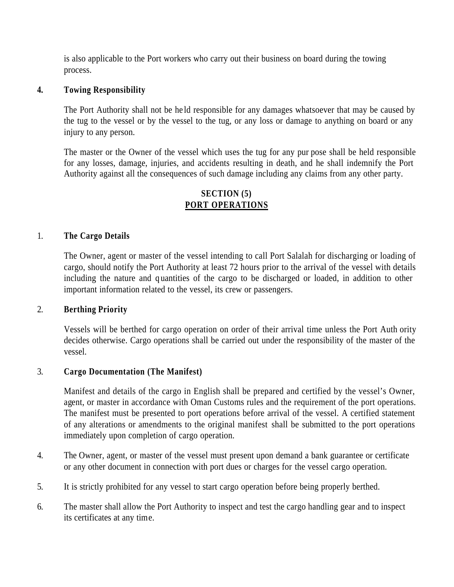is also applicable to the Port workers who carry out their business on board during the towing process.

#### **4. Towing Responsibility**

The Port Authority shall not be he ld responsible for any damages whatsoever that may be caused by the tug to the vessel or by the vessel to the tug, or any loss or damage to anything on board or any injury to any person.

The master or the Owner of the vessel which uses the tug for any pur pose shall be held responsible for any losses, damage, injuries, and accidents resulting in death, and he shall indemnify the Port Authority against all the consequences of such damage including any claims from any other party.

# **SECTION (5) PORT OPERATIONS**

#### 1. **The Cargo Details**

The Owner, agent or master of the vessel intending to call Port Salalah for discharging or loading of cargo, should notify the Port Authority at least 72 hours prior to the arrival of the vessel with details including the nature and q uantities of the cargo to be discharged or loaded, in addition to other important information related to the vessel, its crew or passengers.

#### 2. **Berthing Priority**

Vessels will be berthed for cargo operation on order of their arrival time unless the Port Auth ority decides otherwise. Cargo operations shall be carried out under the responsibility of the master of the vessel.

#### 3. **Cargo Documentation (The Manifest)**

Manifest and details of the cargo in English shall be prepared and certified by the vessel's Owner, agent, or master in accordance with Oman Customs rules and the requirement of the port operations. The manifest must be presented to port operations before arrival of the vessel. A certified statement of any alterations or amendments to the original manifest shall be submitted to the port operations immediately upon completion of cargo operation.

- 4. The Owner, agent, or master of the vessel must present upon demand a bank guarantee or certificate or any other document in connection with port dues or charges for the vessel cargo operation.
- 5. It is strictly prohibited for any vessel to start cargo operation before being properly berthed.
- 6. The master shall allow the Port Authority to inspect and test the cargo handling gear and to inspect its certificates at any time.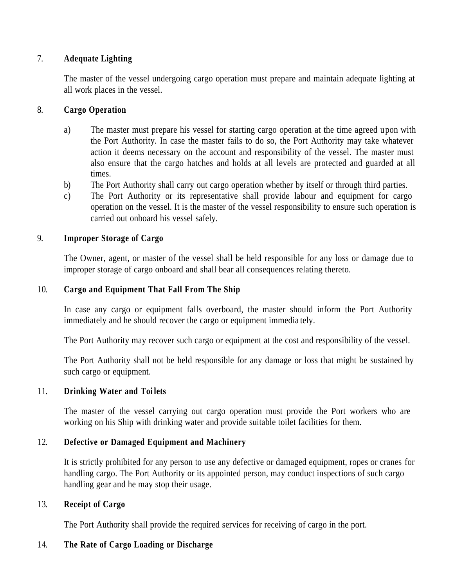### 7. **Adequate Lighting**

The master of the vessel undergoing cargo operation must prepare and maintain adequate lighting at all work places in the vessel.

### 8. **Cargo Operation**

- a) The master must prepare his vessel for starting cargo operation at the time agreed upon with the Port Authority. In case the master fails to do so, the Port Authority may take whatever action it deems necessary on the account and responsibility of the vessel. The master must also ensure that the cargo hatches and holds at all levels are protected and guarded at all times.
- b) The Port Authority shall carry out cargo operation whether by itself or through third parties.
- c) The Port Authority or its representative shall provide labour and equipment for cargo operation on the vessel. It is the master of the vessel responsibility to ensure such operation is carried out onboard his vessel safely.

### 9. **Improper Storage of Cargo**

The Owner, agent, or master of the vessel shall be held responsible for any loss or damage due to improper storage of cargo onboard and shall bear all consequences relating thereto.

### 10. **Cargo and Equipment That Fall From The Ship**

In case any cargo or equipment falls overboard, the master should inform the Port Authority immediately and he should recover the cargo or equipment immedia tely.

The Port Authority may recover such cargo or equipment at the cost and responsibility of the vessel.

The Port Authority shall not be held responsible for any damage or loss that might be sustained by such cargo or equipment.

#### 11. **Drinking Water and Toi lets**

The master of the vessel carrying out cargo operation must provide the Port workers who are working on his Ship with drinking water and provide suitable toilet facilities for them.

# 12. **Defective or Damaged Equipment and Machinery**

It is strictly prohibited for any person to use any defective or damaged equipment, ropes or cranes for handling cargo. The Port Authority or its appointed person, may conduct inspections of such cargo handling gear and he may stop their usage.

#### 13. **Receipt of Cargo**

The Port Authority shall provide the required services for receiving of cargo in the port.

# 14. **The Rate of Cargo Loading or Discharge**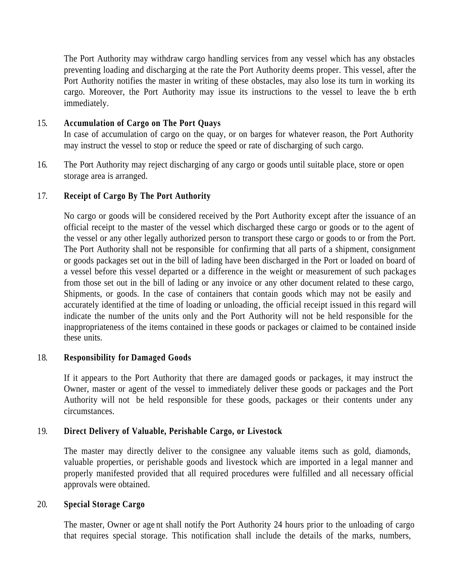The Port Authority may withdraw cargo handling services from any vessel which has any obstacles preventing loading and discharging at the rate the Port Authority deems proper. This vessel, after the Port Authority notifies the master in writing of these obstacles, may also lose its turn in working its cargo. Moreover, the Port Authority may issue its instructions to the vessel to leave the b erth immediately.

### 15. **Accumulation of Cargo on The Port Quays**

In case of accumulation of cargo on the quay, or on barges for whatever reason, the Port Authority may instruct the vessel to stop or reduce the speed or rate of discharging of such cargo.

16. The Port Authority may reject discharging of any cargo or goods until suitable place, store or open storage area is arranged.

### 17. **Receipt of Cargo By The Port Authority**

No cargo or goods will be considered received by the Port Authority except after the issuance of an official receipt to the master of the vessel which discharged these cargo or goods or to the agent of the vessel or any other legally authorized person to transport these cargo or goods to or from the Port. The Port Authority shall not be responsible for confirming that all parts of a shipment, consignment or goods packages set out in the bill of lading have been discharged in the Port or loaded on board of a vessel before this vessel departed or a difference in the weight or measurement of such packages from those set out in the bill of lading or any invoice or any other document related to these cargo, Shipments, or goods. In the case of containers that contain goods which may not be easily and accurately identified at the time of loading or unloading, the official receipt issued in this regard will indicate the number of the units only and the Port Authority will not be held responsible for the inappropriateness of the items contained in these goods or packages or claimed to be contained inside these units.

# 18. **Responsibility for Damaged Goods**

If it appears to the Port Authority that there are damaged goods or packages, it may instruct the Owner, master or agent of the vessel to immediately deliver these goods or packages and the Port Authority will not be held responsible for these goods, packages or their contents under any circumstances.

# 19. **Direct Delivery of Valuable, Perishable Cargo, or Livestock**

The master may directly deliver to the consignee any valuable items such as gold, diamonds, valuable properties, or perishable goods and livestock which are imported in a legal manner and properly manifested provided that all required procedures were fulfilled and all necessary official approvals were obtained.

#### 20. **Special Storage Cargo**

The master, Owner or age nt shall notify the Port Authority 24 hours prior to the unloading of cargo that requires special storage. This notification shall include the details of the marks, numbers,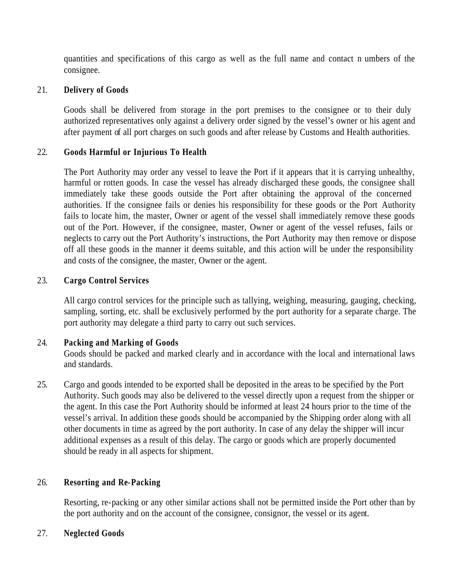quantities and specifications of this cargo as well as the full name and contact n umbers of the consignee.

### 21. **Delivery of Goods**

Goods shall be delivered from storage in the port premises to the consignee or to their duly authorized representatives only against a delivery order signed by the vessel's owner or his agent and after payment of all port charges on such goods and after release by Customs and Health authorities.

### 22. **Goods Harmful or Injurious To Health**

The Port Authority may order any vessel to leave the Port if it appears that it is carrying unhealthy, harmful or rotten goods. In case the vessel has already discharged these goods, the consignee shall immediately take these goods outside the Port after obtaining the approval of the concerned authorities. If the consignee fails or denies his responsibility for these goods or the Port Authority fails to locate him, the master, Owner or agent of the vessel shall immediately remove these goods out of the Port. However, if the consignee, master, Owner or agent of the vessel refuses, fails or neglects to carry out the Port Authority's instructions, the Port Authority may then remove or dispose off all these goods in the manner it deems suitable, and this action will be under the responsibility and costs of the consignee, the master, Owner or the agent.

### 23. **Cargo Control Services**

All cargo control services for the principle such as tallying, weighing, measuring, gauging, checking, sampling, sorting, etc. shall be exclusively performed by the port authority for a separate charge. The port authority may delegate a third party to carry out such services.

# 24. **Packing and Marking of Goods**

Goods should be packed and marked clearly and in accordance with the local and international laws and standards.

25. Cargo and goods intended to be exported shall be deposited in the areas to be specified by the Port Authority. Such goods may also be delivered to the vessel directly upon a request from the shipper or the agent. In this case the Port Authority should be informed at least 24 hours prior to the time of the vessel's arrival. In addition these goods should be accompanied by the Shipping order along with all other documents in time as agreed by the port authority. In case of any delay the shipper will incur additional expenses as a result of this delay. The cargo or goods which are properly documented should be ready in all aspects for shipment.

# 26. **Resorting and Re-Packing**

Resorting, re-packing or any other similar actions shall not be permitted inside the Port other than by the port authority and on the account of the consignee, consignor, the vessel or its agent.

# 27. **Neglected Goods**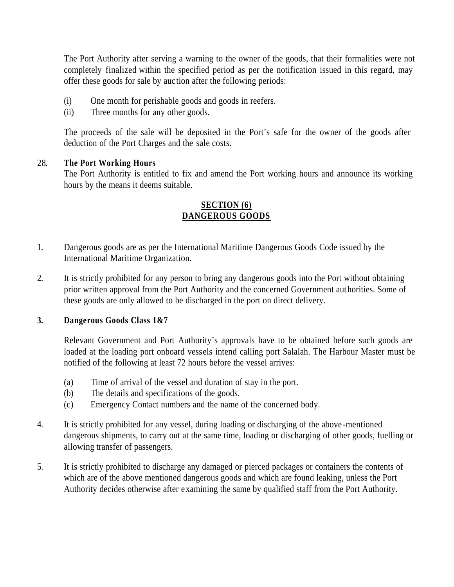The Port Authority after serving a warning to the owner of the goods, that their formalities were not completely finalized within the specified period as per the notification issued in this regard, may offer these goods for sale by auction after the following periods:

- (i) One month for perishable goods and goods in reefers.
- (ii) Three months for any other goods.

The proceeds of the sale will be deposited in the Port's safe for the owner of the goods after deduction of the Port Charges and the sale costs.

### 28. **The Port Working Hours**

The Port Authority is entitled to fix and amend the Port working hours and announce its working hours by the means it deems suitable.

# **SECTION (6) DANGEROUS GOODS**

- 1. Dangerous goods are as per the International Maritime Dangerous Goods Code issued by the International Maritime Organization.
- 2. It is strictly prohibited for any person to bring any dangerous goods into the Port without obtaining prior written approval from the Port Authority and the concerned Government authorities. Some of these goods are only allowed to be discharged in the port on direct delivery.

# **3. Dangerous Goods Class 1&7**

Relevant Government and Port Authority's approvals have to be obtained before such goods are loaded at the loading port onboard vessels intend calling port Salalah. The Harbour Master must be notified of the following at least 72 hours before the vessel arrives:

- (a) Time of arrival of the vessel and duration of stay in the port.
- (b) The details and specifications of the goods.
- (c) Emergency Contact numbers and the name of the concerned body.
- 4. It is strictly prohibited for any vessel, during loading or discharging of the above -mentioned dangerous shipments, to carry out at the same time, loading or discharging of other goods, fuelling or allowing transfer of passengers.
- 5. It is strictly prohibited to discharge any damaged or pierced packages or containers the contents of which are of the above mentioned dangerous goods and which are found leaking, unless the Port Authority decides otherwise after examining the same by qualified staff from the Port Authority.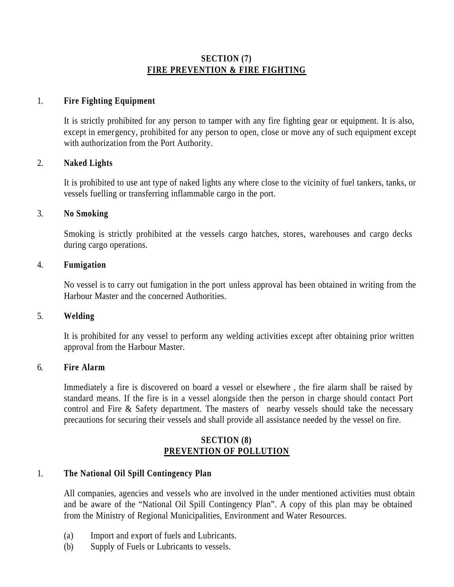### **SECTION (7) FIRE PREVENTION & FIRE FIGHTING**

### 1. **Fire Fighting Equipment**

It is strictly prohibited for any person to tamper with any fire fighting gear or equipment. It is also, except in emergency, prohibited for any person to open, close or move any of such equipment except with authorization from the Port Authority.

#### 2. **Naked Lights**

It is prohibited to use ant type of naked lights any where close to the vicinity of fuel tankers, tanks, or vessels fuelling or transferring inflammable cargo in the port.

#### 3. **No Smoking**

Smoking is strictly prohibited at the vessels cargo hatches, stores, warehouses and cargo decks during cargo operations.

#### 4. **Fumigation**

No vessel is to carry out fumigation in the port unless approval has been obtained in writing from the Harbour Master and the concerned Authorities.

#### 5. **Welding**

It is prohibited for any vessel to perform any welding activities except after obtaining prior written approval from the Harbour Master.

#### 6. **Fire Alarm**

Immediately a fire is discovered on board a vessel or elsewhere , the fire alarm shall be raised by standard means. If the fire is in a vessel alongside then the person in charge should contact Port control and Fire & Safety department. The masters of nearby vessels should take the necessary precautions for securing their vessels and shall provide all assistance needed by the vessel on fire.

#### **SECTION (8) PREVENTION OF POLLUTION**

#### 1. **The National Oil Spill Contingency Plan**

All companies, agencies and vessels who are involved in the under mentioned activities must obtain and be aware of the "National Oil Spill Contingency Plan". A copy of this plan may be obtained from the Ministry of Regional Municipalities, Environment and Water Resources.

- (a) Import and export of fuels and Lubricants.
- (b) Supply of Fuels or Lubricants to vessels.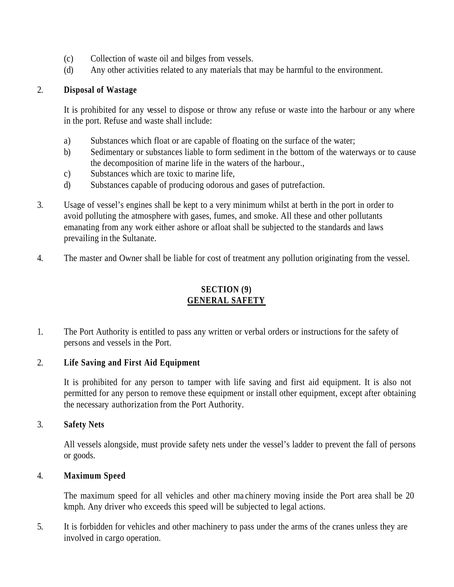- (c) Collection of waste oil and bilges from vessels.
- (d) Any other activities related to any materials that may be harmful to the environment.

# 2. **Disposal of Wastage**

It is prohibited for any vessel to dispose or throw any refuse or waste into the harbour or any where in the port. Refuse and waste shall include:

- a) Substances which float or are capable of floating on the surface of the water;
- b) Sedimentary or substances liable to form sediment in the bottom of the waterways or to cause the decomposition of marine life in the waters of the harbour.,
- c) Substances which are toxic to marine life,
- d) Substances capable of producing odorous and gases of putrefaction.
- 3. Usage of vessel's engines shall be kept to a very minimum whilst at berth in the port in order to avoid polluting the atmosphere with gases, fumes, and smoke. All these and other pollutants emanating from any work either ashore or afloat shall be subjected to the standards and laws prevailing in the Sultanate.
- 4. The master and Owner shall be liable for cost of treatment any pollution originating from the vessel.

# **SECTION (9) GENERAL SAFETY**

1. The Port Authority is entitled to pass any written or verbal orders or instructions for the safety of persons and vessels in the Port.

# 2. **Life Saving and First Aid Equipment**

It is prohibited for any person to tamper with life saving and first aid equipment. It is also not permitted for any person to remove these equipment or install other equipment, except after obtaining the necessary authorization from the Port Authority.

#### 3. **Safety Nets**

All vessels alongside, must provide safety nets under the vessel's ladder to prevent the fall of persons or goods.

# 4. **Maximum Speed**

The maximum speed for all vehicles and other ma chinery moving inside the Port area shall be 20 kmph. Any driver who exceeds this speed will be subjected to legal actions.

5. It is forbidden for vehicles and other machinery to pass under the arms of the cranes unless they are involved in cargo operation.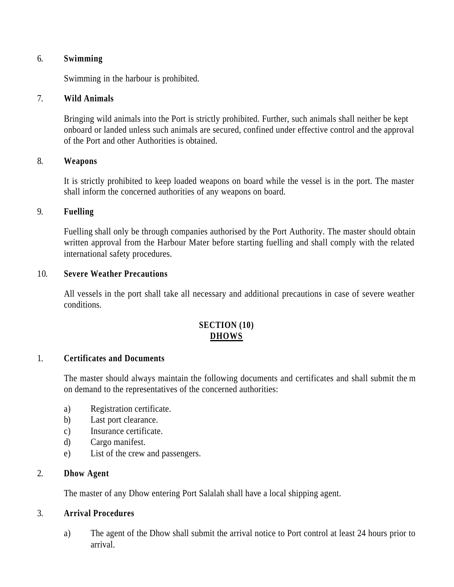#### 6. **Swimming**

Swimming in the harbour is prohibited.

#### 7. **Wild Animals**

Bringing wild animals into the Port is strictly prohibited. Further, such animals shall neither be kept onboard or landed unless such animals are secured, confined under effective control and the approval of the Port and other Authorities is obtained.

#### 8. **Weapons**

It is strictly prohibited to keep loaded weapons on board while the vessel is in the port. The master shall inform the concerned authorities of any weapons on board.

### 9. **Fuelling**

Fuelling shall only be through companies authorised by the Port Authority. The master should obtain written approval from the Harbour Mater before starting fuelling and shall comply with the related international safety procedures.

### 10. **Severe Weather Precautions**

All vessels in the port shall take all necessary and additional precautions in case of severe weather conditions.

# **SECTION (10) DHOWS**

#### 1. **Certificates and Documents**

The master should always maintain the following documents and certificates and shall submit the m on demand to the representatives of the concerned authorities:

- a) Registration certificate.
- b) Last port clearance.
- c) Insurance certificate.
- d) Cargo manifest.
- e) List of the crew and passengers.

#### 2. **Dhow Agent**

The master of any Dhow entering Port Salalah shall have a local shipping agent.

# 3. **Arrival Procedures**

a) The agent of the Dhow shall submit the arrival notice to Port control at least 24 hours prior to arrival.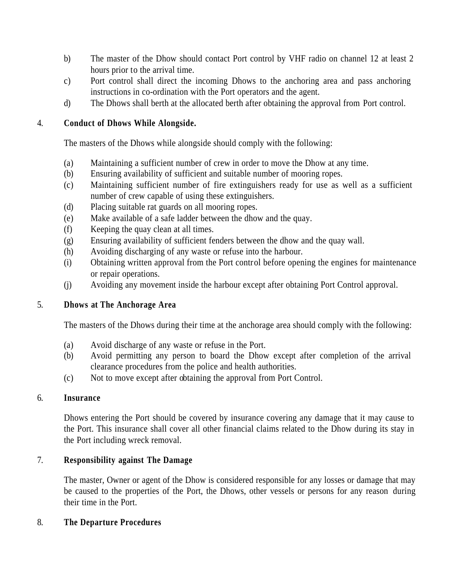- b) The master of the Dhow should contact Port control by VHF radio on channel 12 at least 2 hours prior to the arrival time.
- c) Port control shall direct the incoming Dhows to the anchoring area and pass anchoring instructions in co-ordination with the Port operators and the agent.
- d) The Dhows shall berth at the allocated berth after obtaining the approval from Port control.

# 4. **Conduct of Dhows While Alongside.**

The masters of the Dhows while alongside should comply with the following:

- (a) Maintaining a sufficient number of crew in order to move the Dhow at any time.
- (b) Ensuring availability of sufficient and suitable number of mooring ropes.
- (c) Maintaining sufficient number of fire extinguishers ready for use as well as a sufficient number of crew capable of using these extinguishers.
- (d) Placing suitable rat guards on all mooring ropes.
- (e) Make available of a safe ladder between the dhow and the quay.
- (f) Keeping the quay clean at all times.
- (g) Ensuring availability of sufficient fenders between the dhow and the quay wall.
- (h) Avoiding discharging of any waste or refuse into the harbour.
- (i) Obtaining written approval from the Port control before opening the engines for maintenance or repair operations.
- (j) Avoiding any movement inside the harbour except after obtaining Port Control approval.

# 5. **Dhows at The Anchorage Area**

The masters of the Dhows during their time at the anchorage area should comply with the following:

- (a) Avoid discharge of any waste or refuse in the Port.
- (b) Avoid permitting any person to board the Dhow except after completion of the arrival clearance procedures from the police and health authorities.
- (c) Not to move except after obtaining the approval from Port Control.

#### 6. **Insurance**

Dhows entering the Port should be covered by insurance covering any damage that it may cause to the Port. This insurance shall cover all other financial claims related to the Dhow during its stay in the Port including wreck removal.

# 7. **Responsibility against The Damage**

The master, Owner or agent of the Dhow is considered responsible for any losses or damage that may be caused to the properties of the Port, the Dhows, other vessels or persons for any reason during their time in the Port.

# 8. **The Departure Procedures**